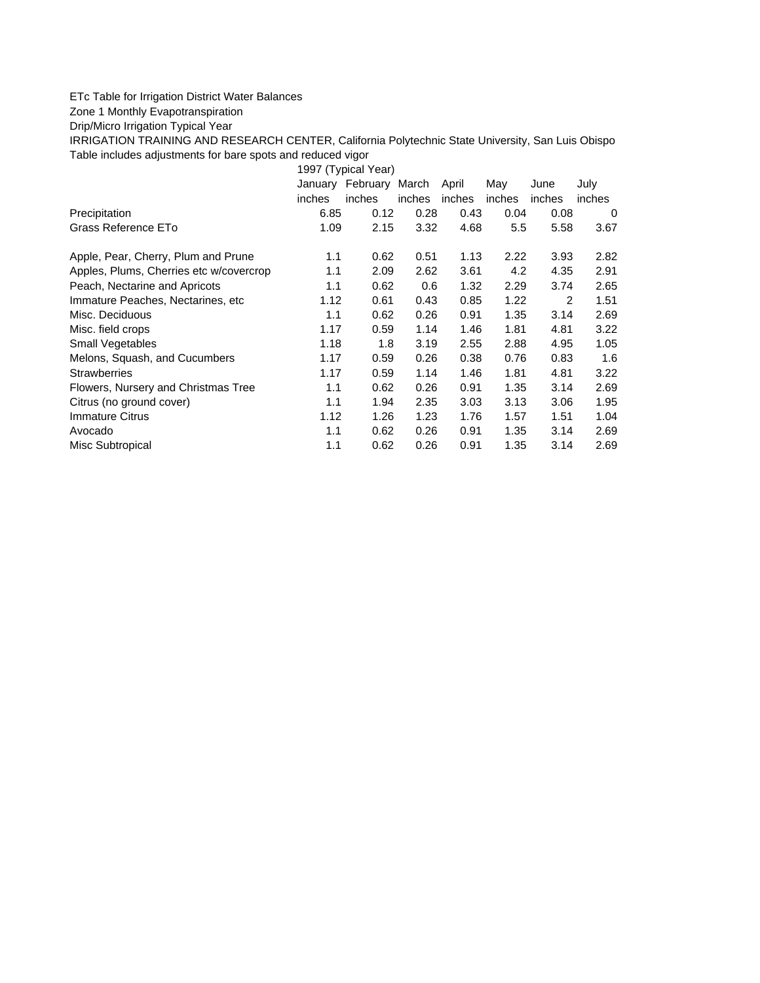## ETc Table for Irrigation District Water Balances

Zone 1 Monthly Evapotranspiration

Drip/Micro Irrigation Typical Year

IRRIGATION TRAINING AND RESEARCH CENTER, California Polytechnic State University, San Luis Obispo Table includes adjustments for bare spots and reduced vigor

1997 (Typical Year) January February March April May June July inches inches inches inches inches inches inches Precipitation 6.85 0.12 0.28 0.43 0.04 0.08 0 Grass Reference ETo **1.09** 2.15 3.32 4.68 5.5 5.58 3.67 Apple, Pear, Cherry, Plum and Prune 1.1 0.62 0.51 1.13 2.22 3.93 2.82 Apples, Plums, Cherries etc w/covercrop 1.1 2.09 2.62 3.61 4.2 4.35 2.91 Peach, Nectarine and Apricots 1.1 0.62 0.6 1.32 2.29 3.74 2.65 Immature Peaches, Nectarines, etc 1.12 0.61 0.43 0.85 1.22 2 1.51 Misc. Deciduous 1.1 0.62 0.26 0.91 1.35 3.14 2.69 Misc. field crops 1.17 0.59 1.14 1.46 1.81 4.81 3.22 Small Vegetables 1.18 1.8 3.19 2.55 2.88 4.95 1.05 Melons, Squash, and Cucumbers 1.17 0.59 0.26 0.38 0.76 0.83 1.6 Strawberries 1.17 0.59 1.14 1.46 1.81 4.81 3.22 Flowers, Nursery and Christmas Tree 1.1 0.62 0.26 0.91 1.35 3.14 2.69 Citrus (no ground cover) 1.1 1.94 2.35 3.03 3.13 3.06 1.95 Immature Citrus 1.12 1.26 1.23 1.76 1.57 1.51 1.04 Avocado 1.1 0.62 0.26 0.91 1.35 3.14 2.69 Misc Subtropical 1.1 0.62 0.26 0.91 1.35 3.14 2.69